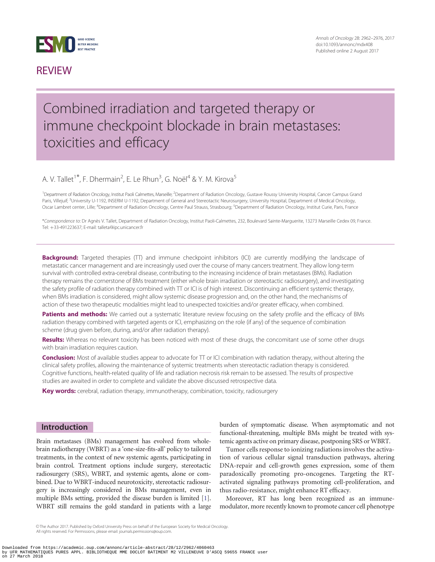

## **REVIEW**

## Combined irradiation and targeted therapy or immune checkpoint blockade in brain metastases: toxicities and efficacy

## A. V. Tallet<sup>1\*</sup>, F. Dhermain<sup>2</sup>, E. Le Rhun<sup>3</sup>, G. Noël<sup>4</sup> & Y. M. Kirova<sup>5</sup>

<sup>1</sup> Department of Radiation Oncology, Institut Paoli Calmettes, Marseille; <sup>2</sup> Department of Radiation Oncology, Gustave Roussy University Hospital, Cancer Campus Grand Paris, Villejuif; <sup>3</sup>University U-1192, INSERM U-1192, Department of General and Stereotactic Neurosurgery, University Hospital, Department of Medical Oncology, Oscar Lambret center, Lille; <sup>4</sup>Department of Radiation Oncology, Centre Paul Strauss, Strasbourg; <sup>5</sup>Department of Radiation Oncology, Institut Curie, Paris, France

\*Correspondence to: Dr Agnès V. Tallet, Department of Radiation Oncology, Institut Paoli-Calmettes, 232, Boulevard Sainte-Marguerite, 13273 Marseille Cedex 09, France. Tel: +33-491223637; E-mail: talleta@ipc.unicancer.fr

**Background:** Targeted therapies (TT) and immune checkpoint inhibitors (ICI) are currently modifying the landscape of metastatic cancer management and are increasingly used over the course of many cancers treatment. They allow long-term survival with controlled extra-cerebral disease, contributing to the increasing incidence of brain metastases (BMs). Radiation therapy remains the cornerstone of BMs treatment (either whole brain irradiation or stereotactic radiosurgery), and investigating the safety profile of radiation therapy combined with TT or ICI is of high interest. Discontinuing an efficient systemic therapy, when BMs irradiation is considered, might allow systemic disease progression and, on the other hand, the mechanisms of action of these two therapeutic modalities might lead to unexpected toxicities and/or greater efficacy, when combined.

Patients and methods: We carried out a systematic literature review focusing on the safety profile and the efficacy of BMs radiation therapy combined with targeted agents or ICI, emphasizing on the role (if any) of the sequence of combination scheme (drug given before, during, and/or after radiation therapy).

Results: Whereas no relevant toxicity has been noticed with most of these drugs, the concomitant use of some other drugs with brain irradiation requires caution.

**Conclusion:** Most of available studies appear to advocate for  $\Pi$  or ICI combination with radiation therapy, without altering the clinical safety profiles, allowing the maintenance of systemic treatments when stereotactic radiation therapy is considered. Cognitive functions, health-related quality of life and radiation necrosis risk remain to be assessed. The results of prospective studies are awaited in order to complete and validate the above discussed retrospective data.

Key words: cerebral, radiation therapy, immunotherapy, combination, toxicity, radiosurgery

### Introduction

Brain metastases (BMs) management has evolved from wholebrain radiotherapy (WBRT) as a 'one-size-fits-all' policy to tailored treatments, in the context of new systemic agents, participating in brain control. Treatment options include surgery, stereotactic radiosurgery (SRS), WBRT, and systemic agents, alone or combined. Due to WBRT-induced neurotoxicity, stereotactic radiosurgery is increasingly considered in BMs management, even in multiple BMs setting, provided the disease burden is limited [\[1\]](#page-11-0). WBRT still remains the gold standard in patients with a large

burden of symptomatic disease. When asymptomatic and not functional-threatening, multiple BMs might be treated with systemic agents active on primary disease, postponing SRS or WBRT.

Tumor cells response to ionizing radiations involves the activation of various cellular signal transduction pathways, altering DNA-repair and cell-growth genes expression, some of them paradoxically promoting pro-oncogenes. Targeting the RTactivated signaling pathways promoting cell-proliferation, and thus radio-resistance, might enhance RT efficacy.

Moreover, RT has long been recognized as an immunemodulator, more recently known to promote cancer cell phenotype

© The Author 2017. Published by Oxford University Press on behalf of the European Society for Medical Oncology All rights reserved. For Permissions, please email: journals.permissions@oup.com.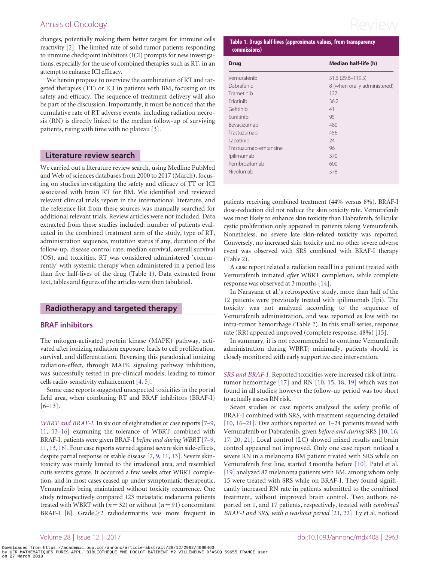changes, potentially making them better targets for immune cells reactivity [[2](#page-11-0)]. The limited rate of solid tumor patients responding to immune checkpoint inhibitors (ICI) prompts for new investigations, especially for the use of combined therapies such as RT, in an attempt to enhance ICI efficacy.

We herein propose to overview the combination of RT and targeted therapies (TT) or ICI in patients with BM, focusing on its safety and efficacy. The sequence of treatment delivery will also be part of the discussion. Importantly, it must be noticed that the cumulative rate of RT adverse events, including radiation necrosis (RN) is directly linked to the median follow-up of surviving patients, rising with time with no plateau [\[3\]](#page-11-0).

#### Literature review search

We carried out a literature review search, using Medline PubMed and Web of sciences databases from 2000 to 2017 (March), focusing on studies investigating the safety and efficacy of TT or ICI associated with brain RT for BM. We identified and reviewed relevant clinical trials report in the international literature, and the reference list from these sources was manually searched for additional relevant trials. Review articles were not included. Data extracted from these studies included: number of patients evaluated in the combined treatment arm of the study, type of RT, administration sequence, mutation status if any, duration of the follow-up, disease control rate, median survival, overall survival (OS), and toxicities. RT was considered administered 'concurrently' with systemic therapy when administered in a period less than five half-lives of the drug (Table 1). Data extracted from text, tables and figures of the articles were then tabulated.

#### Radiotherapy and targeted therapy

### BRAF inhibitors

The mitogen-activated protein kinase (MAPK) pathway, activated after ionizing radiation exposure, leads to cell proliferation, survival, and differentiation. Reversing this paradoxical ionizing radiation-effect, through MAPK signaling pathway inhibition, was successfully tested in pre-clinical models, leading to tumor cells radio-sensitivity enhancement [[4](#page-11-0), [5](#page-11-0)].

Some case reports suggested unexpected toxicities in the portal field area, when combining RT and BRAF inhibitors (BRAF-I)  $[6-13]$  $[6-13]$ .

WBRT and BRAF-I. In six out of eight studies or case reports [\[7](#page-11-0)[–9,](#page-12-0) [11,](#page-12-0) [13–16\]](#page-12-0) examining the tolerance of WBRT combined with BRAF-I, patients were given BRAF-I before and during WBRT [\[7](#page-11-0)[–9,](#page-12-0) [11,](#page-12-0) [13](#page-12-0), [16\]](#page-12-0). Four case reports warned against severe skin side-effects, despite partial response or stable disease [[7,](#page-11-0) [9,](#page-12-0) [11](#page-12-0), [13\]](#page-12-0). Severe skintoxicity was mainly limited to the irradiated area, and resembled cutis vercitis gyrate. It occurred a few weeks after WBRT completion, and in most cases ceased up under symptomatic therapeutic, Vemurafenib being maintained without toxicity recurrence. One study retrospectively compared 123 metastatic melanoma patients treated with WBRT with ( $n=32$ ) or without ( $n=91$ ) concomitant BRAF-I [\[8](#page-12-0)]. Grade  $\geq$ 2 radiodermatitis was more frequent in

## Annals of Oncology  $\mathsf{Review}$

| Table 1. Drugs half-lives (approximate values, from transparency<br>commissions) |  |  |  |  |  |  |  |  |  |
|----------------------------------------------------------------------------------|--|--|--|--|--|--|--|--|--|
| Median half-life (h)                                                             |  |  |  |  |  |  |  |  |  |
| 51.6 (29.8-119.5)                                                                |  |  |  |  |  |  |  |  |  |
| 8 (when orally administered)                                                     |  |  |  |  |  |  |  |  |  |
| 127                                                                              |  |  |  |  |  |  |  |  |  |
| 36.2                                                                             |  |  |  |  |  |  |  |  |  |
| 41                                                                               |  |  |  |  |  |  |  |  |  |
| 95                                                                               |  |  |  |  |  |  |  |  |  |
| 480                                                                              |  |  |  |  |  |  |  |  |  |
| 456                                                                              |  |  |  |  |  |  |  |  |  |
| 24                                                                               |  |  |  |  |  |  |  |  |  |
| 96                                                                               |  |  |  |  |  |  |  |  |  |
| 370                                                                              |  |  |  |  |  |  |  |  |  |
| 600                                                                              |  |  |  |  |  |  |  |  |  |
|                                                                                  |  |  |  |  |  |  |  |  |  |

patients receiving combined treatment (44% versus 8%). BRAF-I dose-reduction did not reduce the skin toxicity rate. Vemurafenib was most likely to enhance skin toxicity than Dabrafenib, follicular cystic proliferation only appeared in patients taking Vemurafenib. Nonetheless, no severe late skin-related toxicity was reported. Conversely, no increased skin toxicity and no other severe adverse event was observed with SRS combined with BRAF-I therapy (Table [2\)](#page-2-0).

Nivolumab 578

A case report related a radiation recall in a patient treated with Vemurafenib initiated after WBRT completion, while complete response was observed at 3 months [\[14\]](#page-12-0).

In Narayana et al.'s retrospective study, more than half of the 12 patients were previously treated with ipilimumab (Ipi). The toxicity was not analyzed according to the sequence of Vemurafenib administration, and was reported as low with no intra-tumor hemorrhage (Table [2](#page-2-0)). In this small series, response rate (RR) appeared improved (complete response: 48%) [[15\]](#page-12-0).

In summary, it is not recommended to continue Vemurafenib administration during WBRT; minimally, patients should be closely monitored with early supportive care intervention.

SRS and BRAF-I. Reported toxicities were increased risk of intratumor hemorrhage [[17](#page-12-0)] and RN [\[10](#page-12-0), [15](#page-12-0), [18,](#page-12-0) [19\]](#page-12-0) which was not found in all studies; however the follow-up period was too short to actually assess RN risk.

Seven studies or case reports analyzed the safety profile of BRAF-I combined with SRS, with treatment sequencing detailed [[10,](#page-12-0) [16–21](#page-12-0)]. Five authors reported on 1–24 patients treated with Vemurafenib or Dabrafenib, given before and during SRS [\[10](#page-12-0), [16,](#page-12-0) [17](#page-12-0), [20](#page-12-0), [21\]](#page-12-0). Local control (LC) showed mixed results and brain control appeared not improved. Only one case report noticed a severe RN in a melanoma BM patient treated with SRS while on Vemurafenib first line, started 3 months before [\[10](#page-12-0)]. Patel et al. [[19\]](#page-12-0) analyzed 87 melanoma patients with BM, among whom only 15 were treated with SRS while on BRAF-I. They found significantly increased RN rate in patients submitted to the combined treatment, without improved brain control. Two authors reported on 1, and 17 patients, respectively, treated with combined BRAF-I and SRS, with a washout period [[21,](#page-12-0) [22\]](#page-12-0). Ly et al. noticed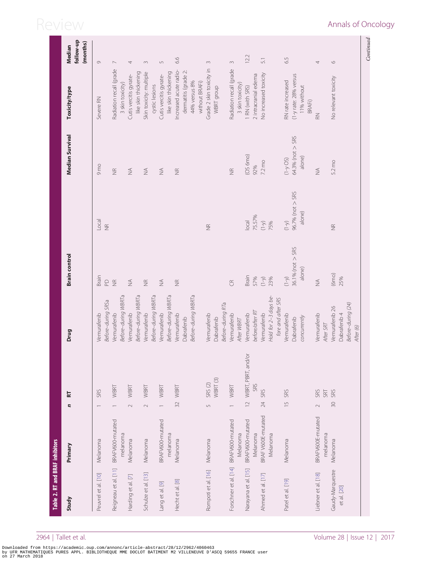<span id="page-2-0"></span>

|                                 | follow-up<br>(months)<br>Median | $\circ$                           | $\overline{\phantom{0}}$                                 | 4                                              | $\sim$                                    | $\sqrt{ }$                                               | 6.6                    |                                                         | $\sim$                                         | $\sim$                                                   | 12.2                                     | 51                                                         | 6.5                                                                 | 4                                       | $\circ$                                                           |
|---------------------------------|---------------------------------|-----------------------------------|----------------------------------------------------------|------------------------------------------------|-------------------------------------------|----------------------------------------------------------|------------------------|---------------------------------------------------------|------------------------------------------------|----------------------------------------------------------|------------------------------------------|------------------------------------------------------------|---------------------------------------------------------------------|-----------------------------------------|-------------------------------------------------------------------|
|                                 | Toxicity/type                   | Severe RN                         | Radiation recall (grade<br>3 skin toxicity)              | like skin thickening<br>Cutis vercitis gyrate- | Skin toxicity: multiple<br>cystic lesions | like skin thickening<br>Cutis vercitis gyrate-           | Increased acute radio- | dermatitis (grade 2:<br>44% versus 8%<br>without BRAFi) | Grade 2 skin toxicity in<br>WBRT group         | Radiation recall (grade<br>3 skin toxicity)              | 2 intracranial edema<br>1 RN (with SRS)  | No increased toxicity                                      | (1-y rate: 28% versus<br>RN rate increased<br>11% without<br>BRAFi) | $\approx$                               | No relevant toxicity                                              |
|                                 | Median Survival                 | ow6                               | $\widetilde{\Xi}$                                        | $\lessgtr$                                     | $\lessgtr$                                | $\lessgtr$                                               | $\widetilde{\Xi}$      |                                                         |                                                | $\widetilde{\Xi}$                                        | (OS6mo)<br>92%                           | 7.2 mo                                                     | $64.3\%$ (not $>$ SRS<br>alone)<br>$(1-y$ OS)                       | $\leq$                                  | 5.2 mo                                                            |
|                                 |                                 | Local<br>$\frac{\alpha}{2}$       |                                                          |                                                |                                           |                                                          |                        |                                                         | $\widetilde{\Xi}$                              |                                                          | 75.57%<br>$ o$ ca $ $                    | $(1 - y)$<br>75%                                           | $96.7\%$ (not $>$ SRS<br>alone)<br>$(1 - y)$                        |                                         | $\frac{\alpha}{2}$                                                |
|                                 | <b>Brain control</b>            | Brain<br>$\Omega$                 | $\widetilde{\Xi}$                                        | $\stackrel{\triangle}{\geq}$                   | $\widetilde{\Xi}$                         | $\stackrel{\triangle}{\geq}$                             | $\frac{\alpha}{2}$     |                                                         |                                                | $\widetilde{\mathbb{G}}$                                 | Brain<br>57%                             | $(1 - y)$<br>23%                                           | $36.1\%$ (not $>$ SRS<br>alone)<br>$(1 - y)$                        | $\leq$                                  | (6 <sub>mp</sub> )<br>25%                                         |
|                                 | Drug                            | Before-during SRSa<br>Vemurafenib | Before-during WBRTa<br>Vemurafenib                       | Before-during WBRTa<br>Vemurafenib             | Before-during WBRTa<br>Vemurafenib        | Before-during WBRTa<br>Vemurafenib                       | Vemurafenib            | Before-during WBRTa<br>Dabrafenib                       | Before-during RTa<br>Vemurafenib<br>Dabrafenib | Vemurafenib<br>After WBRT                                | before/after RT<br>Vemurafenib           | Hold for 2-3 days be-<br>fore and after SRS<br>Vemurafenib | Vemurafenib<br>concurrently<br>Dabrafenib                           | Vemurafenib<br>After SRT                | Before-during (24)<br>Vemurafenib 26<br>Dabrafenib 4<br>After (6) |
|                                 | 运                               | SRS                               | WBRT                                                     | <b>WBRT</b>                                    | <b>WBRT</b>                               | <b>WBRT</b>                                              | <b>WBRT</b><br>32      |                                                         | WBRT(3)<br>SRS <sub>(2)</sub>                  | WBRT                                                     | WBRT, PBRT, and/or<br>SRS<br>$\supseteq$ | SRS<br>$\overline{24}$                                     | SRS<br>$\frac{1}{2}$                                                | SRS<br>SRT                              | SRS<br>30                                                         |
|                                 | n<br>Primary                    | Melanoma                          | $\overline{\phantom{0}}$<br>BRAFV600-mutated<br>melanoma | $\sim$<br>Melanoma                             | $\sim$<br>Melanoma                        | $\overline{\phantom{0}}$<br>BRAFV600-mutated<br>melanoma | Melanoma               |                                                         | $\Box$<br>Melanoma                             | $\overline{\phantom{0}}$<br>BRAFV600-mutated<br>Melanoma | BRAFV600-mutated<br>Melanoma             | BRAF V600E-mutated<br>Melanoma                             | Melanoma                                                            | $\sim$<br>BRAFV600E-mutated<br>melanoma | Melanoma                                                          |
| Table 2. RT and BRAF inhibitors | Study                           | Peuvrel et al. [10]               | Reigneau et al. [11]                                     | Harding et al. [7]                             | Schulze et al. [13]                       | Lang et al. [9]                                          | Hecht et al. [8]       |                                                         | Rompoti et al. [16]                            | Forschner et al. [14]                                    | Narayana et al. [15]                     | Ahmed et al. [17]                                          | Patel et al. [19]                                                   | Liebner et al. [18]                     | Gaudy-Marquestre<br>et al. [20]                                   |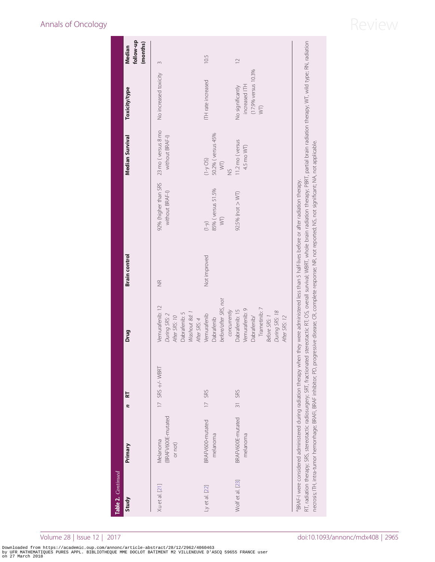| Annals of Oncology |                                      |  |   | Review |
|--------------------|--------------------------------------|--|---|--------|
|                    | ।<br>। । <u>।</u> <del>९</del> क्ष । |  | 5 |        |

| follow-up<br>(months)<br>Median | 3                                                                                                   | 10.5                                                               |                                                                                                                      |                                                                                                                                                                                                                                                                                                                                                                                                                                                                                                                                                                         |
|---------------------------------|-----------------------------------------------------------------------------------------------------|--------------------------------------------------------------------|----------------------------------------------------------------------------------------------------------------------|-------------------------------------------------------------------------------------------------------------------------------------------------------------------------------------------------------------------------------------------------------------------------------------------------------------------------------------------------------------------------------------------------------------------------------------------------------------------------------------------------------------------------------------------------------------------------|
| Toxicity/type                   | No increased toxicity                                                                               | ITH rate increased                                                 | (17.9% versus 10.3%<br>increased ITH<br>No significantly<br>$\sqrt{2}$                                               |                                                                                                                                                                                                                                                                                                                                                                                                                                                                                                                                                                         |
| <b>Median Survival</b>          | 23 mo (versus 8 mo<br>without BRAF-I)                                                               | 50.2% (versus 45%<br>$(1-\gamma)$ OS)<br>WT)<br>$\frac{5}{2}$      | 11.2 mo (versus<br>4.5 mo WT)                                                                                        |                                                                                                                                                                                                                                                                                                                                                                                                                                                                                                                                                                         |
|                                 | 92% (higher than SRS<br>without BRAF-I)                                                             | 85% (versus 51.5%<br>$\sqrt{2}$<br>$(1-\gamma)$                    | $92.5%$ (not $>$ WT)                                                                                                 | RT, radiation therapy; SRS, stereotactic radiosurgery; SRT, fractionated stereotactic RT; OS, overall survival; WBRT, whole brain radiation therapy; PBRT, partial brain radiation therapy; WT, wild type; RN, radiation<br>necrosis; ITH, intra-tumor hemorrhage; BRAFi, BRAF inhibitor; PD, progressive disease; CR, complete response; NR, not reported; NS, not significant; NA, not applicable.<br><sup>a</sup> BRAF-I were considered administered during radiation therapy when they were administered less than 5 half-lives before or after radiation therapy. |
| <b>Brain control</b>            | $\frac{\alpha}{\beta}$                                                                              | Not improved                                                       |                                                                                                                      |                                                                                                                                                                                                                                                                                                                                                                                                                                                                                                                                                                         |
| Drug                            | Vemurafenib: 12<br>Dabrafenib: 5<br>Washout 8d: 1<br>During SRS: 2<br>After SRS: 10<br>After SRS: 4 | before/after SRS, not<br>concurrently<br>Vemurafenib<br>Dabrafenib | Trametinib: 7<br>Vemurafenib: 9<br>Dabrafenib: 15<br>During SRS: 18<br>Before SRS: 1<br>After SRS: 12<br>Dabrafenib/ |                                                                                                                                                                                                                                                                                                                                                                                                                                                                                                                                                                         |
| 료<br>Z                          | $17$ SRS $+/-$ WBRT                                                                                 | 17 SRS                                                             | 31 SRS                                                                                                               |                                                                                                                                                                                                                                                                                                                                                                                                                                                                                                                                                                         |
| Primary                         | (BRAFV600E-mutated<br>Melanoma<br>or not)                                                           | BRAFV600-mutated<br>melanoma                                       | BRAFV600E-mutated<br>melanoma                                                                                        |                                                                                                                                                                                                                                                                                                                                                                                                                                                                                                                                                                         |
| Study                           | Xu et al. [21]                                                                                      | Ly et al. [22]                                                     | Wolf et al. [23]                                                                                                     |                                                                                                                                                                                                                                                                                                                                                                                                                                                                                                                                                                         |

Downloaded from https://academic.oup.com/annonc/article-abstract/28/12/2962/4060463 by UFR MATHEMATIQUES PURES APPL. BIBLIOTHEQUE MME DOCLOT BATIMENT M2 VILLENEUVE D'ASCQ 59655 FRANCE user on 27 March 2018

Table 2. Continued

Table 2. Continued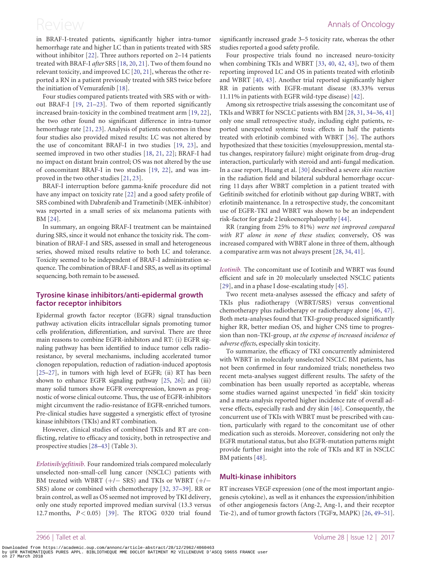in BRAF-I-treated patients, significantly higher intra-tumor hemorrhage rate and higher LC than in patients treated with SRS without inhibitor [\[22](#page-12-0)]. Three authors reported on 2–14 patients treated with BRAF-I after SRS [[18,](#page-12-0) [20](#page-12-0), [21](#page-12-0)]. Two of them found no relevant toxicity, and improved LC [\[20](#page-12-0), [21](#page-12-0)], whereas the other reported a RN in a patient previously treated with SRS twice before the initiation of Vemurafenib [\[18\]](#page-12-0).

Four studies compared patients treated with SRS with or without BRAF-I [[19](#page-12-0), [21](#page-12-0)–[23\]](#page-12-0). Two of them reported significantly increased brain-toxicity in the combined treatment arm [[19,](#page-12-0) [22](#page-12-0)], the two other found no significant difference in intra-tumor hemorrhage rate [\[21](#page-12-0), [23](#page-12-0)]. Analysis of patients outcomes in these four studies also provided mixed results: LC was not altered by the use of concomitant BRAF-I in two studies [[19,](#page-12-0) [23\]](#page-12-0), and seemed improved in two other studies [\[18](#page-12-0), [21,](#page-12-0) [22\]](#page-12-0); BRAF-I had no impact on distant brain control; OS was not altered by the use of concomitant BRAF-I in two studies [[19,](#page-12-0) [22](#page-12-0)], and was improved in the two other studies [\[21](#page-12-0), [23\]](#page-12-0).

BRAF-I interruption before gamma-knife procedure did not have any impact on toxicity rate [\[22](#page-12-0)] and a good safety profile of SRS combined with Dabrafenib and Trametinib (MEK-inhibitor) was reported in a small series of six melanoma patients with BM [\[24\]](#page-12-0).

In summary, an ongoing BRAF-I treatment can be maintained during SRS, since it would not enhance the toxicity risk. The combination of BRAF-I and SRS, assessed in small and heterogeneous series, showed mixed results relative to both LC and tolerance. Toxicity seemed to be independent of BRAF-I administration sequence. The combination of BRAF-I and SRS, as well as its optimal sequencing, both remain to be assessed.

### Tyrosine kinase inhibitors/anti-epidermal growth factor receptor inhibitors

Epidermal growth factor receptor (EGFR) signal transduction pathway activation elicits intracellular signals promoting tumor cells proliferation, differentiation, and survival. There are three main reasons to combine EGFR-inhibitors and RT: (i) EGFR signaling pathway has been identified to induce tumor cells radioresistance, by several mechanisms, including accelerated tumor clonogen repopulation, reduction of radiation-induced apoptosis [\[25–27](#page-12-0)], in tumors with high level of EGFR; (ii) RT has been shown to enhance EGFR signaling pathway [\[25](#page-12-0), [26](#page-12-0)]; and (iii) many solid tumors show EGFR overexpression, known as prognostic of worse clinical outcome. Thus, the use of EGFR-inhibitors might circumvent the radio-resistance of EGFR-enriched tumors. Pre-clinical studies have suggested a synergistic effect of tyrosine kinase inhibitors (TKIs) and RT combination.

However, clinical studies of combined TKIs and RT are conflicting, relative to efficacy and toxicity, both in retrospective and prospective studies [\[28–43](#page-12-0)] (Table [3\)](#page-5-0).

Erlotinib/gefitinib. Four randomized trials compared molecularly unselected non-small-cell lung cancer (NSCLC) patients with BM treated with WBRT ( $+/-$  SRS) and TKIs or WBRT ( $+/-$ SRS) alone or combined with chemotherapy [[32,](#page-12-0) [37–39\]](#page-12-0). RR or brain control, as well as OS seemed not improved by TKI delivery, only one study reported improved median survival (13.3 versus 12.7 months, P < 0.05) [\[39](#page-12-0)]. The RTOG 0320 trial found

Downloaded from https://academic.oup.com/annonc/article-abstract/28/12/2962/4060463 by UFR MATHEMATIQUES PURES APPL. BIBLIOTHEQUE MME DOCLOT BATIMENT M2 VILLENEUVE D'ASCQ 59655 FRANCE user on 27 March 2018

significantly increased grade 3–5 toxicity rate, whereas the other studies reported a good safety profile.

Four prospective trials found no increased neuro-toxicity when combining TKIs and WBRT [[33,](#page-12-0) [40](#page-12-0), [42](#page-12-0), [43\]](#page-12-0), two of them reporting improved LC and OS in patients treated with erlotinib and WBRT [[40,](#page-12-0) [43](#page-12-0)]. Another trial reported significantly higher RR in patients with EGFR-mutant disease (83.33% versus 11.11% in patients with EGFR wild-type disease) [[42](#page-12-0)].

Among six retrospective trials assessing the concomitant use of TKIs and WBRT for NSCLC patients with BM [\[28](#page-12-0), [31,](#page-12-0) [34–36,](#page-12-0) [41](#page-12-0)] only one small retrospective study, including eight patients, reported unexpected systemic toxic effects in half the patients treated with erlotinib combined with WBRT [\[36](#page-12-0)]. The authors hypothesized that these toxicities (myelosuppression, mental status changes, respiratory failure) might originate from drug–drug interaction, particularly with steroid and anti-fungal medication. In a case report, Huang et al. [[30](#page-12-0)] described a severe skin reaction in the radiation field and bilateral subdural hemorrhage occurring 11 days after WBRT completion in a patient treated with Gefitinib switched for erlotinib without gap during WBRT, with erlotinib maintenance. In a retrospective study, the concomitant use of EGFR-TKI and WBRT was shown to be an independent risk-factor for grade 2 leukoencephalopathy [[44\]](#page-12-0).

RR (ranging from 25% to 81%) were not improved compared with RT alone in none of these studies; conversely, OS was increased compared with WBRT alone in three of them, although a comparative arm was not always present [\[28](#page-12-0), [34,](#page-12-0) [41\]](#page-12-0).

Icotinib. The concomitant use of Icotinib and WBRT was found efficient and safe in 20 molecularly unselected NSCLC patients [[29](#page-12-0)], and in a phase I dose-escalating study [[45\]](#page-12-0).

Two recent meta-analyses assessed the efficacy and safety of TKIs plus radiotherapy (WBRT/SRS) versus conventional chemotherapy plus radiotherapy or radiotherapy alone [[46,](#page-12-0) [47\]](#page-13-0). Both meta-analyses found that TKI-group produced significantly higher RR, better median OS, and higher CNS time to progression than non-TKI-group, at the expense of increased incidence of adverse effects, especially skin toxicity.

To summarize, the efficacy of TKI concurrently administered with WBRT in molecularly unselected NSCLC BM patients, has not been confirmed in four randomized trials; nonetheless two recent meta-analyses suggest different results. The safety of the combination has been usually reported as acceptable, whereas some studies warned against unexpected 'in field' skin toxicity and a meta-analysis reported higher incidence rate of overall adverse effects, especially rash and dry skin [\[46](#page-12-0)]. Consequently, the concurrent use of TKIs with WBRT must be prescribed with caution, particularly with regard to the concomitant use of other medication such as steroids. Moreover, considering not only the EGFR mutational status, but also EGFR-mutation patterns might provide further insight into the role of TKIs and RT in NSCLC BM patients [[48\]](#page-13-0).

### Multi-kinase inhibitors

RT increases VEGF expression (one of the most important angiogenesis cytokine), as well as it enhances the expression/inhibition of other angiogenesis factors (Ang-2, Ang-1, and their receptor Tie-2), and of tumor growth factors (TGFa, MAPK) [\[26](#page-12-0), [49–51\]](#page-13-0).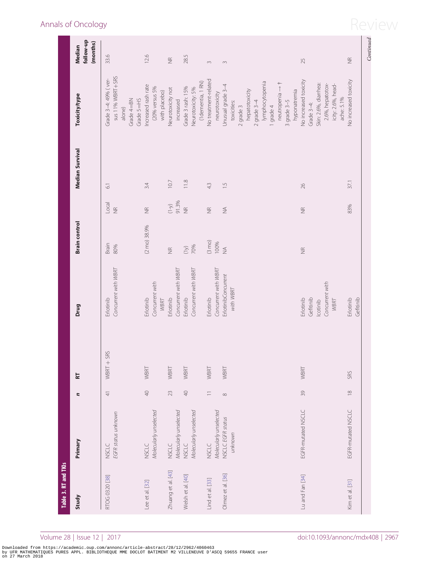<span id="page-5-0"></span>

| sus 11% WBRT+SRS<br>Grade 3-4: 49% (ver-<br>Increased rash rate<br>Grade 5=HS<br>Grade 4=BN<br>alone) |
|-------------------------------------------------------------------------------------------------------|
| $\overline{6}$                                                                                        |
| Local<br>$\widetilde{\Xi}$<br>$\frac{\alpha}{2}$                                                      |
| $(2 \text{ mo}) 38.9%$<br>Brain<br>80%                                                                |
| Concurrent with WBRT<br>Erlotinib                                                                     |
|                                                                                                       |
| WBRT                                                                                                  |
| $\overline{Q}$<br>Molecularly unselected<br>NSCLC                                                     |
|                                                                                                       |

Volume 28 | Issue 12 | 2017 doi:10.1093/annonc/mdx408 | 2967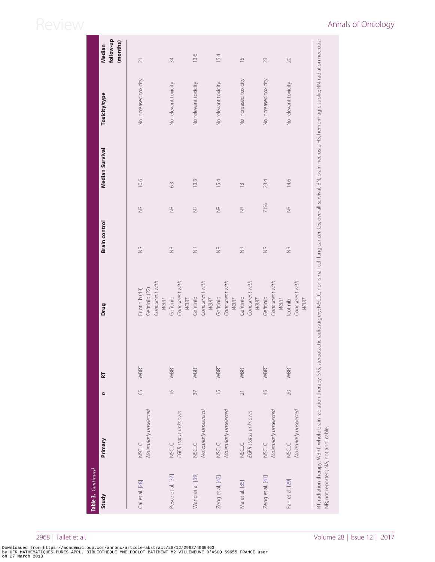| (months)<br>Median<br>13.6<br>15.4<br>20<br>$\approx$<br>$\frac{1}{2}$<br>23<br>$\overline{2}1$<br>No increased toxicity<br>No increased toxicity<br>No increased toxicity<br>No relevant toxicity<br>No relevant toxicity<br>No relevant toxicity<br>No relevant toxicity<br>Toxicity/type<br>Median Survival<br>14.6<br>10.6<br>13.3<br>15.4<br>23.4<br>6.3<br>$\widetilde{\Box}$<br>71%<br>$\frac{\alpha}{2}$<br>$\widetilde{\Xi}$<br>$\frac{\alpha}{2}$<br>$\frac{\alpha}{2}$<br>$\frac{\alpha}{2}$<br>$\frac{\alpha}{2}$<br><b>Brain control</b><br>$\frac{\alpha}{2}$<br>$\frac{\alpha}{2}$<br>$\frac{\alpha}{2}$<br>$\frac{\alpha}{2}$<br>$\frac{\alpha}{2}$<br>$\frac{\alpha}{2}$<br>$\frac{\alpha}{2}$<br>Concurrent with<br>Concurrent with<br>Concurrent with<br>Concurrent with<br>Concurrent with<br>Concurrent with<br>Concurrent with<br>Gefitinib (22)<br>Erlotinib (43)<br>Gefitinib<br>Gefitinib<br>Gefitinib<br>Gefitinib<br>Gefitinib<br><b>WBRT</b><br><b>WBRT</b><br><b>WBRT</b><br><b>WBRT</b><br><b>WBRT</b><br><b>WBRT</b><br><b>WBRT</b><br>Icotinib<br>Drug<br>WBRT<br>WBRT<br>WBRT<br>WBRT<br>WBRT<br>WBRT<br>WBRT<br>运<br>$\frac{1}{2}$<br>$\frac{5}{1}$<br>$\overline{20}$<br>59<br>45<br>37<br>$\geq$<br>n<br>Molecularly unselected<br>Molecularly unselected<br>Molecularly unselected<br>Molecularly unselected<br>Molecularly unselected<br>EGFR status unknown<br>EGFR status unknown<br>Primary<br>NSCLC<br><b>NSCLC</b><br>NSCLC<br>NSCLC<br>NSCLC<br>NSCLC<br>NSCLC<br>Wang et al. [39]<br>Pesce et al. [37]<br>Zeng et al. [41]<br>Zeng et al. [42]<br>Fan et al. [29]<br>Cai et al. [28]<br>Ma et al. [35]<br>Study | Table 3. Continued |  |  |  |  |           |
|--------------------------------------------------------------------------------------------------------------------------------------------------------------------------------------------------------------------------------------------------------------------------------------------------------------------------------------------------------------------------------------------------------------------------------------------------------------------------------------------------------------------------------------------------------------------------------------------------------------------------------------------------------------------------------------------------------------------------------------------------------------------------------------------------------------------------------------------------------------------------------------------------------------------------------------------------------------------------------------------------------------------------------------------------------------------------------------------------------------------------------------------------------------------------------------------------------------------------------------------------------------------------------------------------------------------------------------------------------------------------------------------------------------------------------------------------------------------------------------------------------------------------------------------------------------------------------------------------------------------------------------------------------------|--------------------|--|--|--|--|-----------|
|                                                                                                                                                                                                                                                                                                                                                                                                                                                                                                                                                                                                                                                                                                                                                                                                                                                                                                                                                                                                                                                                                                                                                                                                                                                                                                                                                                                                                                                                                                                                                                                                                                                              |                    |  |  |  |  | follow-up |
|                                                                                                                                                                                                                                                                                                                                                                                                                                                                                                                                                                                                                                                                                                                                                                                                                                                                                                                                                                                                                                                                                                                                                                                                                                                                                                                                                                                                                                                                                                                                                                                                                                                              |                    |  |  |  |  |           |
|                                                                                                                                                                                                                                                                                                                                                                                                                                                                                                                                                                                                                                                                                                                                                                                                                                                                                                                                                                                                                                                                                                                                                                                                                                                                                                                                                                                                                                                                                                                                                                                                                                                              |                    |  |  |  |  |           |
|                                                                                                                                                                                                                                                                                                                                                                                                                                                                                                                                                                                                                                                                                                                                                                                                                                                                                                                                                                                                                                                                                                                                                                                                                                                                                                                                                                                                                                                                                                                                                                                                                                                              |                    |  |  |  |  |           |
|                                                                                                                                                                                                                                                                                                                                                                                                                                                                                                                                                                                                                                                                                                                                                                                                                                                                                                                                                                                                                                                                                                                                                                                                                                                                                                                                                                                                                                                                                                                                                                                                                                                              |                    |  |  |  |  |           |
|                                                                                                                                                                                                                                                                                                                                                                                                                                                                                                                                                                                                                                                                                                                                                                                                                                                                                                                                                                                                                                                                                                                                                                                                                                                                                                                                                                                                                                                                                                                                                                                                                                                              |                    |  |  |  |  |           |
|                                                                                                                                                                                                                                                                                                                                                                                                                                                                                                                                                                                                                                                                                                                                                                                                                                                                                                                                                                                                                                                                                                                                                                                                                                                                                                                                                                                                                                                                                                                                                                                                                                                              |                    |  |  |  |  |           |
|                                                                                                                                                                                                                                                                                                                                                                                                                                                                                                                                                                                                                                                                                                                                                                                                                                                                                                                                                                                                                                                                                                                                                                                                                                                                                                                                                                                                                                                                                                                                                                                                                                                              |                    |  |  |  |  |           |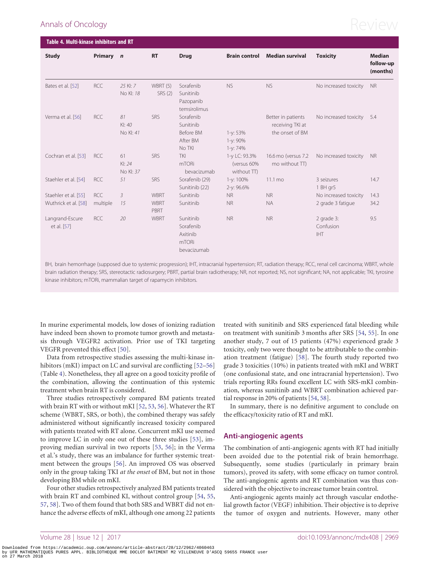## Annals of Oncology  $\mathsf{Review}$

| Table 4. Multi-kinase inhibitors and RT |            |                           |                     |                                                            |                                             |                                                           |                                |                                        |
|-----------------------------------------|------------|---------------------------|---------------------|------------------------------------------------------------|---------------------------------------------|-----------------------------------------------------------|--------------------------------|----------------------------------------|
| <b>Study</b>                            | Primary n  |                           | <b>RT</b>           | <b>Drug</b>                                                | <b>Brain control</b>                        | <b>Median survival</b>                                    | <b>Toxicity</b>                | <b>Median</b><br>follow-up<br>(months) |
| Bates et al. [52]                       | <b>RCC</b> | 25 KI: 7<br>No KI: 18     | WBRT (5)<br>SRS (2) | Sorafenib<br>Sunitinib<br>Pazopanib<br>temsirolimus        | <b>NS</b>                                   | <b>NS</b>                                                 | No increased toxicity          | <b>NR</b>                              |
| Verma et al. [56]                       | <b>RCC</b> | 81<br>KI: 40<br>No KI: 41 | SRS                 | Sorafenib<br>Sunitinib<br>Before BM<br>After BM<br>No TKI  | $1-y: 53%$<br>1-y: 90%<br>1-y: 74%          | Better in patients<br>receiving TKI at<br>the onset of BM | No increased toxicity          | 5.4                                    |
| Cochran et al. [53]                     | <b>RCC</b> | 61<br>KI: 24<br>No KI: 37 | SRS                 | <b>TKI</b><br>mTORi<br>bevacizumab                         | 1-y LC: 93.3%<br>(versus 60%<br>without TT) | 16.6 mo (versus 7.2<br>mo without TT)                     | No increased toxicity          | <b>NR</b>                              |
| Staehler et al. [54]                    | <b>RCC</b> | 51                        | SRS                 | Sorafenib (29)<br>Sunitinib (22)                           | 1-y: 100%<br>2-y: 96.6%                     | $11.1 \text{ mo}$                                         | 3 seizures<br>1 BH gr5         | 14.7                                   |
| Staehler et al. [55]                    | <b>RCC</b> | $\overline{3}$            | <b>WBRT</b>         | Sunitinib                                                  | <b>NR</b>                                   | <b>NR</b>                                                 | No increased toxicity          | 14.3                                   |
| Wuthrick et al. [58]                    | multiple   | 15                        | <b>WBRT</b><br>PBRT | Sunitinib                                                  | <b>NR</b>                                   | <b>NA</b>                                                 | 2 grade 3 fatigue              | 34.2                                   |
| Langrand-Escure<br>et al. [57]          | <b>RCC</b> | 20                        | <b>WBRT</b>         | Sunitinib<br>Sorafenib<br>Axitinib<br>mTORi<br>bevacizumab | <b>NR</b>                                   | <b>NR</b>                                                 | 2 grade 3:<br>Confusion<br>IHT | 9.5                                    |

BH, brain hemorrhage (supposed due to systemic progression); IHT, intracranial hypertension; RT, radiation therapy; RCC, renal cell carcinoma; WBRT, whole brain radiation therapy; SRS, stereotactic radiosurgery; PBRT, partial brain radiotherapy; NR, not reported; NS, not significant; NA, not applicable; TKI, tyrosine kinase inhibitors; mTORi, mammalian target of rapamycin inhibitors.

In murine experimental models, low doses of ionizing radiation have indeed been shown to promote tumor growth and metastasis through VEGFR2 activation. Prior use of TKI targeting VEGFR prevented this effect [[50\]](#page-13-0).

Data from retrospective studies assessing the multi-kinase in-hibitors (mKI) impact on LC and survival are conflicting [\[52–56](#page-13-0)] (Table 4). Nonetheless, they all agree on a good toxicity profile of the combination, allowing the continuation of this systemic treatment when brain RT is considered.

Three studies retrospectively compared BM patients treated with brain RT with or without mKI [\[52](#page-13-0), [53,](#page-13-0) [56\]](#page-13-0). Whatever the RT scheme (WBRT, SRS, or both), the combined therapy was safely administered without significantly increased toxicity compared with patients treated with RT alone. Concurrent mKI use seemed to improve LC in only one out of these three studies [[53](#page-13-0)], improving median survival in two reports [[53](#page-13-0), [56\]](#page-13-0); in the Verma et al.'s study, there was an imbalance for further systemic treatment between the groups [\[56](#page-13-0)]. An improved OS was observed only in the group taking TKI at the onset of BM, but not in those developing BM while on mKI.

Four other studies retrospectively analyzed BM patients treated with brain RT and combined KI, without control group [[54,](#page-13-0) [55,](#page-13-0) [57,](#page-13-0) [58](#page-13-0)]. Two of them found that both SRS and WBRT did not enhance the adverse effects of mKI, although one among 22 patients treated with sunitinib and SRS experienced fatal bleeding while on treatment with sunitinib 3 months after SRS [\[54,](#page-13-0) [55\]](#page-13-0). In one another study, 7 out of 15 patients (47%) experienced grade 3 toxicity, only two were thought to be attributable to the combination treatment (fatigue) [\[58](#page-13-0)]. The fourth study reported two grade 3 toxicities (10%) in patients treated with mKI and WBRT (one confusional state, and one intracranial hypertension). Two trials reporting RRs found excellent LC with SRS-mKI combination, whereas sunitinib and WBRT combination achieved partial response in 20% of patients [[54,](#page-13-0) [58\]](#page-13-0).

In summary, there is no definitive argument to conclude on the efficacy/toxicity ratio of RT and mKI.

#### Anti-angiogenic agents

The combination of anti-angiogenic agents with RT had initially been avoided due to the potential risk of brain hemorrhage. Subsequently, some studies (particularly in primary brain tumors), proved its safety, with some efficacy on tumor control. The anti-angiogenic agents and RT combination was thus considered with the objective to increase tumor brain control.

Anti-angiogenic agents mainly act through vascular endothelial growth factor (VEGF) inhibition. Their objective is to deprive the tumor of oxygen and nutrients. However, many other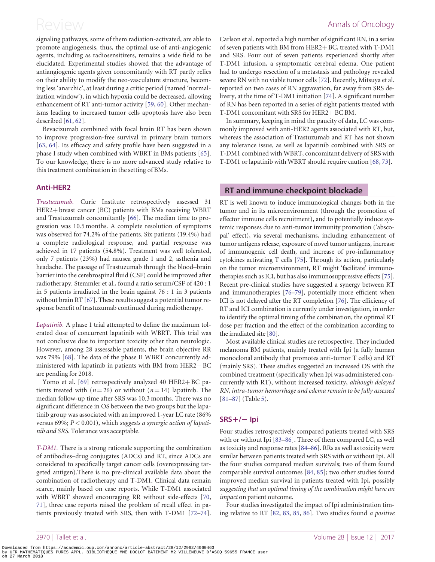signaling pathways, some of them radiation-activated, are able to promote angiogenesis, thus, the optimal use of anti-angiogenic agents, including as radiosensitizers, remains a wide field to be elucidated. Experimental studies showed that the advantage of antiangiogenic agents given concomitantly with RT partly relies on their ability to modify the neo-vasculature structure, becoming less 'anarchic', at least during a critic period (named 'normalization window'), in which hypoxia could be decreased, allowing enhancement of RT anti-tumor activity [[59,](#page-13-0) [60\]](#page-13-0). Other mechanisms leading to increased tumor cells apoptosis have also been described [[61,](#page-13-0) [62\]](#page-13-0).

Bevacizumab combined with focal brain RT has been shown to improve progression-free survival in primary brain tumors [[63,](#page-13-0) [64](#page-13-0)]. Its efficacy and safety profile have been suggested in a phase I study when combined with WBRT in BMs patients [\[65](#page-13-0)]. To our knowledge, there is no more advanced study relative to this treatment combination in the setting of BMs.

### Anti-HER2

Trastuzumab. Curie Institute retrospectively assessed 31 HER2+ breast cancer (BC) patients with BMs receiving WBRT and Trastuzumab concomitantly [\[66](#page-13-0)]. The median time to progression was 10.5 months. A complete resolution of symptoms was observed for 74.2% of the patients. Six patients (19.4%) had a complete radiological response, and partial response was achieved in 17 patients (54.8%). Treatment was well tolerated, only 7 patients (23%) had nausea grade 1 and 2, asthenia and headache. The passage of Trastuzumab through the blood–brain barrier into the cerebrospinal fluid (CSF) could be improved after radiotherapy. Stemmler et al., found a ratio serum/CSF of 420 : 1 in 5 patients irradiated in the brain against 76 : 1 in 3 patients without brain RT [[67](#page-13-0)]. These results suggest a potential tumor response benefit of trastuzumab continued during radiotherapy.

Lapatinib. A phase 1 trial attempted to define the maximum tolerated dose of concurrent lapatinib with WBRT. This trial was not conclusive due to important toxicity other than neurologic. However, among 28 assessable patients, the brain objective RR was 79% [\[68](#page-13-0)]. The data of the phase II WBRT concurrently administered with lapatinib in patients with BM from  $HER2 + BC$ are pending for 2018.

Yomo et al.  $[69]$  $[69]$  retrospectively analyzed 40 HER2+ BC patients treated with  $(n = 26)$  or without  $(n = 14)$  lapatinib. The median follow-up time after SRS was 10.3 months. There was no significant difference in OS between the two groups but the lapatinib group was associated with an improved 1-year LC rate (86% versus 69%;  $P < 0.001$ ), which suggests a synergic action of lapatinib and SRS. Tolerance was acceptable.

T-DM1. There is a strong rationale supporting the combination of antibodies–drug conjugates (ADCs) and RT, since ADCs are considered to specifically target cancer cells (overexpressing targeted antigen).There is no pre-clinical available data about the combination of radiotherapy and T-DM1. Clinical data remain scarce, mainly based on case reports. While T-DM1 associated with WBRT showed encouraging RR without side-effects [[70](#page-13-0), [71](#page-13-0)], three case reports raised the problem of recall effect in patients previously treated with SRS, then with T-DM1 [\[72–74](#page-13-0)].

Carlson et al. reported a high number of significant RN, in a series of seven patients with BM from HER2+ BC, treated with T-DM1 and SRS. Four out of seven patients experienced shortly after T-DM1 infusion, a symptomatic cerebral edema. One patient had to undergo resection of a metastasis and pathology revealed severe RN with no viable tumor cells [[72\]](#page-13-0). Recently, Mitsuya et al. reported on two cases of RN aggravation, far away from SRS delivery, at the time of T-DM1 initiation [[74\]](#page-13-0). A significant number of RN has been reported in a series of eight patients treated with T-DM1 concomitant with SRS for HER2+ BC BM.

In summary, keeping in mind the paucity of data, LC was commonly improved with anti-HER2 agents associated with RT, but, whereas the association of Trastuzumab and RT has not shown any tolerance issue, as well as lapatinib combined with SRS or T-DM1 combined with WBRT, concomitant delivery of SRS with T-DM1 or lapatinib with WBRT should require caution [[68,](#page-13-0) [73\]](#page-13-0).

### RT and immune checkpoint blockade

RT is well known to induce immunological changes both in the tumor and in its microenvironment (through the promotion of effector immune cells recruitment), and to potentially induce systemic responses due to anti-tumor immunity promotion ('abscopal' effect), via several mechanisms, including enhancement of tumor antigens release, exposure of novel tumor antigens, increase of immunogenic cell death, and increase of pro-inflammatory cytokines activating T cells [\[75](#page-13-0)]. Through its action, particularly on the tumor microenvironment, RT might 'facilitate' immunotherapies such as ICI, but has also immunosuppressive effects [[75\]](#page-13-0). Recent pre-clinical studies have suggested a synergy between RT and immunotherapies [[76–79](#page-13-0)], potentially more efficient when ICI is not delayed after the RT completion [[76\]](#page-13-0). The efficiency of RT and ICI combination is currently under investigation, in order to identify the optimal timing of the combination, the optimal RT dose per fraction and the effect of the combination according to the irradiated site [\[80\]](#page-13-0).

Most available clinical studies are retrospective. They included melanoma BM patients, mainly treated with Ipi (a fully human monoclonal antibody that promotes anti-tumor T cells) and RT (mainly SRS). These studies suggested an increased OS with the combined treatment (specifically when Ipi was administered concurrently with RT), without increased toxicity, although delayed RN, intra-tumor hemorrhage and edema remain to be fully assessed [[81](#page-13-0)–[87\]](#page-13-0) (Table [5](#page-9-0)).

### $SRS+/-$  Ipi

Four studies retrospectively compared patients treated with SRS with or without Ipi [[83–86\]](#page-13-0). Three of them compared LC, as well as toxicity and response rates [[84–86\]](#page-13-0). RRs as well as toxicity were similar between patients treated with SRS with or without Ipi. All the four studies compared median survivals; two of them found comparable survival outcomes [\[84](#page-13-0), [85](#page-13-0)]; two other studies found improved median survival in patients treated with Ipi, possibly suggesting that an optimal timing of the combination might have an impact on patient outcome.

Four studies investigated the impact of Ipi administration timing relative to RT [\[82](#page-13-0), [83,](#page-13-0) [85,](#page-13-0) [86](#page-13-0)]. Two studies found a positive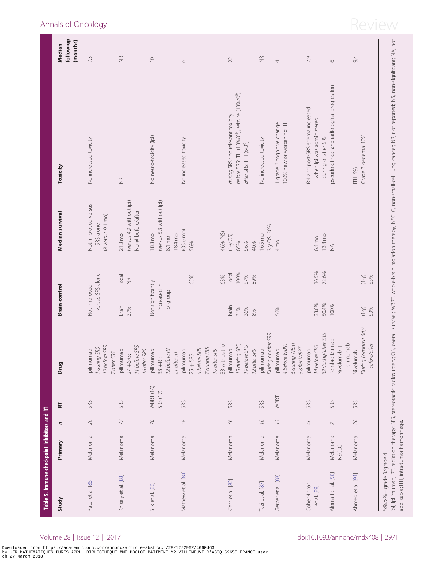| Table 5. Immune checkpoint Inhibitors and RT |                   |                          |                       |                                                                                            |                                                |                             |                                                                          |                                                                                                                                                                                                                      |                                 |
|----------------------------------------------|-------------------|--------------------------|-----------------------|--------------------------------------------------------------------------------------------|------------------------------------------------|-----------------------------|--------------------------------------------------------------------------|----------------------------------------------------------------------------------------------------------------------------------------------------------------------------------------------------------------------|---------------------------------|
| Study                                        | Primary           | u                        | <b>ZE</b>             | Drug                                                                                       | <b>Brain control</b>                           |                             | Median survival                                                          | Toxicity                                                                                                                                                                                                             | follow-up<br>(months)<br>Median |
| Patel et al. [85]                            | Melanoma          | $\gtrsim$                | SRS                   | 12 before SRS<br>SRS<br>Ipilimumab<br>7 after SRS<br>eduring                               | versus SRS alone<br>Not improved               |                             | Not improved versus<br>(8 versus 9.1 mo)<br>SRS alone                    | No increased toxicity                                                                                                                                                                                                | 73                              |
| Knisely et al. [83]                          | Melanoma          | $\geq$                   | SRS                   | 11 before SRS<br>Ipilimumab<br>16 after SRS<br>$27 + SRS$                                  | Brain<br>37%                                   | oca <br>$\frac{\alpha}{2}$  | (versus 4.9 without ipi)<br>No $\neq$ before/after<br>21.3 <sub>mo</sub> | $\widetilde{\Xi}$                                                                                                                                                                                                    | $\widetilde{\Xi}$               |
| Silk et al. [86]                             | Melanoma          | $\gtrsim$                | WBRT (16)<br>SRS (17) | 12 before RT<br>Ipilimumab<br>21 after RT<br>$33 + RT$ :                                   | Not significantly<br>increased in<br>lpi group |                             | (versus 5.3 without ipi)<br>18.3 mo<br>18.4 mo<br>8.1 mo                 | No neuro-toxicity (ipi)                                                                                                                                                                                              | $\supseteq$                     |
| Mathew et al. [84]                           | Melanoma          | 58                       | SRS                   | 33 without ipi<br>7 during SRS<br>10 after SRS<br>4 before SRS<br>Ipilimumab<br>$25 + SRS$ |                                                | 63%<br>65%                  | $(OS6 \text{ mol})$<br>46% (NS)<br>56%                                   | No increased toxicity                                                                                                                                                                                                | $\circ$                         |
| Kiess et al. [82]                            | Melanoma          | $\beta p$                | SRS                   | 15 during SRS,<br>19 before SRS,<br>Ipilimumab<br>12 after SRS                             | brain<br>31%<br>36%<br>8%                      | 100%<br>Local<br>87%<br>89% | $(1-y$ OS)<br>65%<br>40%<br>56%                                          | before SRS: ITH (13%/0 <sup>ª</sup> ), seizure (13%/0 <sup>ª</sup> )<br>during SRS : no relevant toxicity<br>after SRS: ITH (6/3 <sup>ª</sup> )                                                                      | 22                              |
| Tazi et al. [87]                             | Melanoma          | $\overline{\mathcal{L}}$ | SRS                   | During or after SRS<br>lpilimumab                                                          |                                                |                             | 3-y OS: 50%<br>16.5 mo                                                   | No increased toxicity                                                                                                                                                                                                | $\frac{\alpha}{2}$              |
| Gerber et al. [88]                           | Melanoma          | 13                       | WBRT                  | <b>WBRT</b><br>4 before WBRT<br>3 after WBRT<br>Ipilimumab<br>6 during                     | 56%                                            |                             | $4 \text{mO}$                                                            | 100% new or worsening ITH<br>1 grade 3 cognitive change                                                                                                                                                              | 4                               |
| Cohen-Inbar<br>et al. [89]                   | Melanoma          | 46                       | SRS                   | 32 during/after SRS<br>14 before SRS<br>Ipilimumab                                         | 33.6%<br>50.4%                                 | 16.5%<br>72.6%              | 13.8 mo<br>6.4 mo                                                        | RN and post-SRS edema increased<br>when Ipi was administered<br>during or after SRS                                                                                                                                  | 7.9                             |
| Alomari et al. [90]                          | Melanoma<br>NSCLC | $\sim$                   | SRS                   | Pembrolizumab<br>ipilimumab<br>Nivolumab +                                                 | 100%                                           |                             | $\frac{1}{2}$                                                            | pseudo clinical and radiological progression                                                                                                                                                                         | $\circ$                         |
| Ahmed et al. [91]                            | Melanoma          | $26$                     | SRS                   | During (washout 6d)/<br>before/after<br>Nivolumab                                          | $(1-\gamma)$<br>53%                            | $(1-\gamma)$<br>85%         |                                                                          | Grade 3 oedema: 10%<br>ITH: 5%                                                                                                                                                                                       | 94                              |
| $a$ x%/x%= grade 3/grade 4.                  |                   |                          |                       |                                                                                            |                                                |                             |                                                                          | ipi, ipilimumab; RT, radiation therapy; SRS, stereotactic radiosurgery; OS, overall survival; WBRT, whole-brain radiation therapy; NSCLC, non-small-cell lung cancer; NR, not reported; NS, non-significant; NA, not |                                 |

Downloaded from https://academic.oup.com/annonc/article-abstract/28/12/2962/4060463 by UFR MATHEMATIQUES PURES APPL. BIBLIOTHEQUE MME DOCLOT BATIMENT M2 VILLENEUVE D'ASCQ 59655 FRANCE user on 27 March 2018

## <span id="page-9-0"></span>Annals of Oncology  $\mathsf{Reviv}$

applicable; ITH, intra-tumor hemorrhage. applicable; ITH, intra-tumor hemorrhage.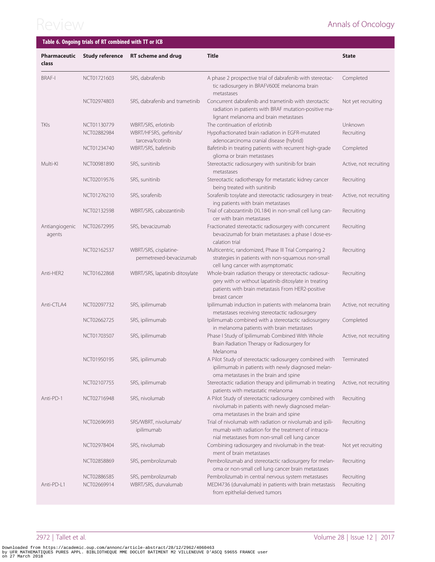<span id="page-10-0"></span>

| <b>Pharmaceutic</b>      |                            | Study reference RT scheme and drug                                | <b>Title</b>                                                                                                                                                                           | <b>State</b>           |
|--------------------------|----------------------------|-------------------------------------------------------------------|----------------------------------------------------------------------------------------------------------------------------------------------------------------------------------------|------------------------|
| class                    |                            |                                                                   |                                                                                                                                                                                        |                        |
| <b>BRAF-I</b>            | NCT01721603                | SRS, dabrafenib                                                   | A phase 2 prospective trial of dabrafenib with stereotac-<br>tic radiosurgery in BRAFV600E melanoma brain<br>metastases                                                                | Completed              |
|                          | NCT02974803                | SRS, dabrafenib and trametinib                                    | Concurrent dabrafenib and trametinib with sterotactic<br>radiation in patients with BRAF mutation-positive ma-<br>lignant melanoma and brain metastases                                | Not yet recruiting     |
| TKIs                     | NCT01130779<br>NCT02882984 | WBRT/SRS, erlotinib<br>WBRT/HFSRS, gefitinib/<br>tarceva/lcotinib | The continuation of erlotinib<br>Hypofractionated brain radiation in EGFR-mutated<br>adenocarcinoma cranial disease (hybrid)                                                           | Unknown<br>Recruiting  |
|                          | NCT01234740                | WBRT/SRS, bafetinib                                               | Bafetinib in treating patients with recurrent high-grade<br>glioma or brain metastases                                                                                                 | Completed              |
| Multi-Kl                 | NCT00981890                | SRS, sunitinib                                                    | Stereotactic radiosurgery with sunitinib for brain<br>metastases                                                                                                                       | Active, not recruiting |
|                          | NCT02019576                | SRS, sunitinib                                                    | Stereotactic radiotherapy for metastatic kidney cancer<br>being treated with sunitinib                                                                                                 | Recruiting             |
|                          | NCT01276210                | SRS, sorafenib                                                    | Sorafenib tosylate and stereotactic radiosurgery in treat-<br>ing patients with brain metastases                                                                                       | Active, not recruiting |
|                          | NCT02132598                | WBRT/SRS, cabozantinib                                            | Trial of cabozantinib (XL184) in non-small cell lung can-<br>cer with brain metastases                                                                                                 | Recruiting             |
| Antiangiogenic<br>agents | NCT02672995                | SRS, bevacizumab                                                  | Fractionated stereotactic radiosurgery with concurrent<br>bevacizumab for brain metastases: a phase I dose-es-<br>calation trial                                                       | Recruiting             |
|                          | NCT02162537                | WBRT/SRS, cisplatine-<br>permetrexed-bevacizumab                  | Multicentric, randomized, Phase III Trial Comparing 2<br>strategies in patients with non-squamous non-small<br>cell lung cancer with asymptomatic                                      | Recruiting             |
| Anti-HER2                | NCT01622868                | WBRT/SRS, lapatinib ditosylate                                    | Whole-brain radiation therapy or stereotactic radiosur-<br>gery with or without lapatinib ditosylate in treating<br>patients with brain metastasis From HER2-positive<br>breast cancer | Recruiting             |
| Anti-CTLA4               | NCT02097732                | SRS, ipilimumab                                                   | Ipilimumab induction in patients with melanoma brain<br>metastases receiving stereotactic radiosurgery                                                                                 | Active, not recruiting |
|                          | NCT02662725                | SRS, ipilimumab                                                   | Ipilimumab combined with a stereotactic radiosurgery<br>in melanoma patients with brain metastases                                                                                     | Completed              |
|                          | NCT01703507                | SRS, ipilimumab                                                   | Phase I Study of Ipilimumab Combined With Whole<br>Brain Radiation Therapy or Radiosurgery for<br>Melanoma                                                                             | Active, not recruiting |
|                          | NCT01950195                | SRS, ipilimumab                                                   | A Pilot Study of stereotactic radiosurgery combined with<br>ipilimumab in patients with newly diagnosed melan-<br>oma metastases in the brain and spine                                | Terminated             |
|                          | NCT02107755                | SRS, ipilimumab                                                   | Stereotactic radiation therapy and ipilimumab in treating<br>patients with metastatic melanoma                                                                                         | Active, not recruiting |
| Anti-PD-1                | NCT02716948                | SRS, nivolumab                                                    | A Pilot Study of stereotactic radiosurgery combined with<br>nivolumab in patients with newly diagnosed melan-<br>oma metastases in the brain and spine                                 | Recruiting             |
|                          | NCT02696993                | SRS/WBRT, nivolumab/<br>ipilimumab                                | Trial of nivolumab with radiation or nivolumab and ipili-<br>mumab with radiation for the treatment of intracra-<br>nial metastases from non-small cell lung cancer                    | Recruiting             |
|                          | NCT02978404                | SRS, nivolumab                                                    | Combining radiosurgery and nivolumab in the treat-<br>ment of brain metastases                                                                                                         | Not yet recruiting     |
|                          | NCT02858869                | SRS, pembrolizumab                                                | Pembrolizumab and stereotactic radiosurgery for melan-<br>oma or non-small cell lung cancer brain metastases                                                                           | Recruiting             |
|                          | NCT02886585                | SRS, pembrolizumab                                                | Pembrolizumab in central nervous system metastases                                                                                                                                     | Recruiting             |
| Anti-PD-L1               | NCT02669914                | WBRT/SRS, durvalumab                                              | MEDI4736 (durvalumab) in patients with brain metastasis<br>from epithelial-derived tumors                                                                                              | Recruiting             |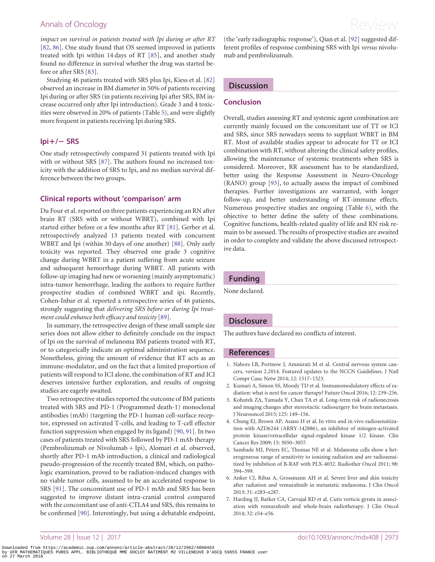<span id="page-11-0"></span>impact on survival in patients treated with Ipi during or after RT [\[82](#page-13-0), [86](#page-13-0)]. One study found that OS seemed improved in patients treated with Ipi within 14 days of RT [\[85](#page-13-0)], and another study found no difference in survival whether the drug was started before or after SRS [\[83\]](#page-13-0).

Studying 46 patients treated with SRS plus Ipi, Kiess et al. [\[82](#page-13-0)] observed an increase in BM diameter in 50% of patients receiving Ipi during or after SRS (in patients receiving Ipi after SRS, BM increase occurred only after Ipi introduction). Grade 3 and 4 toxicities were observed in 20% of patients (Table [5\)](#page-9-0), and were slightly more frequent in patients receiving Ipi during SRS.

#### $Ipi+/-$  SRS

One study retrospectively compared 31 patients treated with Ipi with or without SRS [\[87](#page-13-0)]. The authors found no increased toxicity with the addition of SRS to Ipi, and no median survival difference between the two groups.

#### Clinical reports without 'comparison' arm

Du Four et al. reported on three patients experiencing an RN after brain RT (SRS with or without WBRT), combined with Ipi started either before or a few months after RT [[81\]](#page-13-0). Gerber et al. retrospectively analyzed 13 patients treated with concurrent WBRT and Ipi (within 30 days of one another) [\[88](#page-13-0)]. Only early toxicity was reported. They observed one grade 3 cognitive change during WBRT in a patient suffering from acute seizure and subsequent hemorrhage during WBRT. All patients with follow-up imaging had new or worsening (mainly asymptomatic) intra-tumor hemorrhage, leading the authors to require further prospective studies of combined WBRT and ipi. Recently, Cohen-Inbar et al. reported a retrospective series of 46 patients, strongly suggesting that delivering SRS before or during Ipi treatment could enhance both efficacy and toxicity [\[89](#page-13-0)].

In summary, the retrospective design of these small sample size series does not allow either to definitely conclude on the impact of Ipi on the survival of melanoma BM patients treated with RT, or to categorically indicate an optimal administration sequence. Nonetheless, giving the amount of evidence that RT acts as an immune-modulator, and on the fact that a limited proportion of patients will respond to ICI alone, the combination of RT and ICI deserves intensive further exploration, and results of ongoing studies are eagerly awaited.

Two retrospective studies reported the outcome of BM patients treated with SRS and PD-1 (Programmed death-1) monoclonal antibodies (mAb) (targeting the PD-1 human cell-surface receptor, expressed on activated T-cells, and leading to T-cell effector function suppression when engaged by its ligand) [\[90](#page-14-0), [91\]](#page-14-0). In two cases of patients treated with SRS followed by PD-1 mAb therapy (Pembrolizumab or Nivolumab + Ipi), Alomari et al. observed, shortly after PD-1 mAb introduction, a clinical and radiological pseudo-progression of the recently treated BM, which, on pathologic examination, proved to be radiation-induced changes with no viable tumor cells, assumed to be an accelerated response to SRS [\[91](#page-14-0)]. The concomitant use of PD-1 mAb and SRS has been suggested to improve distant intra-cranial control compared with the concomitant use of anti-CTLA4 and SRS, this remains to be confirmed [\[90](#page-14-0)]. Interestingly, but using a debatable endpoint,

(the 'early radiographic response'), Qian et al. [\[92](#page-14-0)] suggested different profiles of response combining SRS with Ipi versus nivolumab and pembrolizumab.

### **Discussion**

#### Conclusion

Overall, studies assessing RT and systemic agent combination are currently mainly focused on the concomitant use of TT or ICI and SRS, since SRS nowadays seems to supplant WBRT in BM RT. Most of available studies appear to advocate for TT or ICI combination with RT, without altering the clinical safety profiles, allowing the maintenance of systemic treatments when SRS is considered. Moreover, RR assessment has to be standardized, better using the Response Assessment in Neuro-Oncology (RANO) group [\[93](#page-14-0)], to actually assess the impact of combined therapies. Further investigations are warranted, with longer follow-up, and better understanding of RT-immune effects. Numerous prospective studies are ongoing (Table [6](#page-10-0)), with the objective to better define the safety of these combinations. Cognitive functions, health-related quality of life and RN risk remain to be assessed. The results of prospective studies are awaited in order to complete and validate the above discussed retrospective data.

### Funding

None declared.

### **Disclosure**

The authors have declared no conflicts of interest.

### References

- 1. Nabors LB, Portnow J, Ammirati M et al. Central nervous system cancers, version 2.2014. Featured updates to the NCCN Guidelines. J Natl Compr Canc Netw 2014; 12: 1517–1523.
- 2. Kumari A, Simon SS, Moody TD et al. Immunomodulatory effects of radiation: what is next for cancer therapy? Future Oncol 2016; 12: 239–256.
- 3. Kohutek ZA, Yamada Y, Chan TA et al. Long-term risk of radionecrosis and imaging changes after stereotactic radiosurgery for brain metastases. J Neurooncol 2015; 125: 149–156.
- 4. Chung EJ, Brown AP, Asano H et al. In vitro and in vivo radiosensitization with AZD6244 (ARRY-142886), an inhibitor of mitogen-activated protein kinase/extracellular signal-regulated kinase 1/2 kinase. Clin Cancer Res 2009; 15: 3050–3057.
- 5. Sambade MJ, Peters EC, Thomas NE et al. Melanoma cells show a heterogeneous range of sensitivity to ionizing radiation and are radiosensitized by inhibition of B-RAF with PLX-4032. Radiother Oncol 2011; 98: 394–399.
- 6. Anker CJ, Ribas A, Grossmann AH et al. Severe liver and skin toxicity after radiation and vemurafenib in metastatic melanoma. J Clin Oncol 2013; 31: e283–e287.
- 7. Harding JJ, Barker CA, Carvajal RD et al. Cutis verticis gyrata in association with vemurafenib and whole-brain radiotherapy. J Clin Oncol 2014; 32: e54–e56.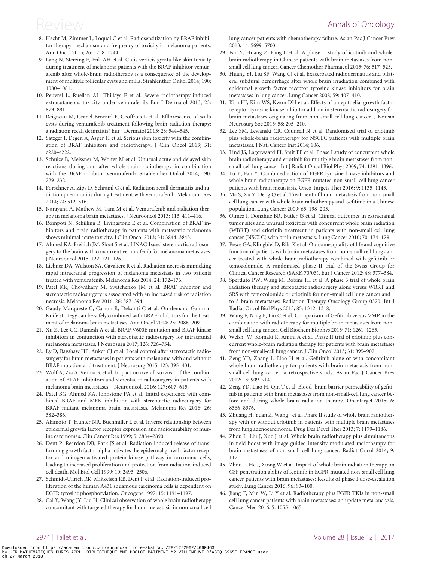- <span id="page-12-0"></span>8. Hecht M, Zimmer L, Loquai C et al. Radiosensitization by BRAF inhibitor therapy-mechanism and frequency of toxicity in melanoma patients. Ann Oncol 2015; 26: 1238–1244.
- 9. Lang N, Sterzing F, Enk AH et al. Cutis verticis gyrata-like skin toxicity during treatment of melanoma patients with the BRAF inhibitor vemurafenib after whole-brain radiotherapy is a consequence of the development of multiple follicular cysts and milia. Strahlenther Onkol 2014; 190: 1080–1081.
- 10. Peuvrel L, Ruellan AL, Thillays F et al. Severe radiotherapy-induced extracutaneous toxicity under vemurafenib. Eur J Dermatol 2013; 23: 879–881.
- 11. Reigneau M, Granel-Brocard F, Geoffrois L et al. Efflorescence of scalp cysts during vemurafenib treatment following brain radiation therapy: a radiation recall dermatitis? Eur J Dermatol 2013; 23: 544–545.
- 12. Satzger I, Degen A, Asper H et al. Serious skin toxicity with the combination of BRAF inhibitors and radiotherapy. J Clin Oncol 2013; 31: e220–e222.
- 13. Schulze B, Meissner M, Wolter M et al. Unusual acute and delayed skin reactions during and after whole-brain radiotherapy in combination with the BRAF inhibitor vemurafenib. Strahlenther Onkol 2014; 190: 229–232.
- 14. Forschner A, Zips D, Schraml C et al. Radiation recall dermatitis and radiation pneumonitis during treatment with vemurafenib. Melanoma Res 2014; 24: 512–516.
- 15. Narayana A, Mathew M, Tam M et al. Vemurafenib and radiation therapy in melanoma brain metastases. J Neurooncol 2013; 113: 411–416.
- 16. Rompoti N, Schilling B, Livingstone E et al. Combination of BRAF inhibitors and brain radiotherapy in patients with metastatic melanoma shows minimal acute toxicity. J Clin Oncol 2013; 31: 3844–3845.
- 17. Ahmed KA, Freilich JM, Sloot S et al. LINAC-based stereotactic radiosurgery to the brain with concurrent vemurafenib for melanoma metastases. J Neurooncol 2015; 122: 121–126.
- 18. Liebner DA, Walston SA, Cavaliere R et al. Radiation necrosis mimicking rapid intracranial progression of melanoma metastasis in two patients treated with vemurafenib. Melanoma Res 2014; 24: 172–176.
- 19. Patel KR, Chowdhary M, Switchenko JM et al. BRAF inhibitor and stereotactic radiosurgery is associated with an increased risk of radiation necrosis. Melanoma Res 2016; 26: 387–394.
- 20. Gaudy-Marqueste C, Carron R, Delsanti C et al. On demand Gamma-Knife strategy can be safely combined with BRAF inhibitors for the treatment of melanoma brain metastases. Ann Oncol 2014; 25: 2086–2091.
- 21. Xu Z, Lee CC, Ramesh A et al. BRAF V600E mutation and BRAF kinase inhibitors in conjunction with stereotactic radiosurgery for intracranial melanoma metastases. J Neurosurg 2017; 126: 726–734.
- 22. Ly D, Bagshaw HP, Anker CJ et al. Local control after stereotactic radiosurgery for brain metastases in patients with melanoma with and without BRAF mutation and treatment. J Neurosurg 2015; 123: 395–401.
- 23. Wolf A, Zia S, Verma R et al. Impact on overall survival of the combination of BRAF inhibitors and stereotactic radiosurgery in patients with melanoma brain metastases. J Neurooncol. 2016; 127: 607–615.
- 24. Patel BG, Ahmed KA, Johnstone PA et al. Initial experience with combined BRAF and MEK inhibition with stereotactic radiosurgery for BRAF mutant melanoma brain metastases. Melanoma Res 2016; 26: 382–386.
- 25. Akimoto T, Hunter NR, Buchmiller L et al. Inverse relationship between epidermal growth factor receptor expression and radiocurability of murine carcinomas. Clin Cancer Res 1999; 5: 2884–2890.
- 26. Dent P, Reardon DB, Park JS et al. Radiation-induced release of transforming growth factor alpha activates the epidermal growth factor receptor and mitogen-activated protein kinase pathway in carcinoma cells, leading to increased proliferation and protection from radiation-induced cell death. Mol Biol Cell 1999; 10: 2493–2506.
- 27. Schmidt-Ullrich RK, Mikkelsen RB, Dent P et al. Radiation-induced proliferation of the human A431 squamous carcinoma cells is dependent on EGFR tyrosine phosphorylation. Oncogene 1997; 15: 1191–1197.
- 28. Cai Y, Wang JY, Liu H. Clinical observation of whole brain radiotherapy concomitant with targeted therapy for brain metastasis in non-small cell

lung cancer patients with chemotherapy failure. Asian Pac J Cancer Prev 2013; 14: 5699–5703.

- 29. Fan Y, Huang Z, Fang L et al. A phase II study of icotinib and wholebrain radiotherapy in Chinese patients with brain metastases from nonsmall cell lung cancer. Cancer Chemother Pharmacol 2015; 76: 517–523.
- 30. Huang YJ, Liu SF, Wang CJ et al. Exacerbated radiodermatitis and bilateral subdural hemorrhage after whole brain irradiation combined with epidermal growth factor receptor tyrosine kinase inhibitors for brain metastases in lung cancer. Lung Cancer 2008; 59: 407–410.
- 31. Kim HJ, Kim WS, Kwon DH et al. Effects of an epithelial growth factor receptor-tyrosine kinase inhibitor add-on in stereotactic radiosurgery for brain metastases originating from non-small-cell lung cancer. J Korean Neurosurg Soc 2015; 58: 205–210.
- 32. Lee SM, Lewanski CR, Counsell N et al. Randomized trial of erlotinib plus whole-brain radiotherapy for NSCLC patients with multiple brain metastases. J Natl Cancer Inst 2014; 106.
- 33. Lind JS, Lagerwaard FJ, Smit EF et al. Phase I study of concurrent whole brain radiotherapy and erlotinib for multiple brain metastases from nonsmall-cell lung cancer. Int J Radiat Oncol Biol Phys 2009; 74: 1391–1396.
- 34. Lu Y, Fan Y. Combined action of EGFR tyrosine kinase inhibitors and whole-brain radiotherapy on EGFR-mutated non-small-cell lung cancer patients with brain metastasis. Onco Targets Ther 2016; 9: 1135–1143.
- 35. Ma S, Xu Y, Deng Q et al. Treatment of brain metastasis from non-small cell lung cancer with whole brain radiotherapy and Gefitinib in a Chinese population. Lung Cancer 2009; 65: 198–203.
- 36. Olmez I, Donahue BR, Butler JS et al. Clinical outcomes in extracranial tumor sites and unusual toxicities with concurrent whole brain radiation (WBRT) and erlotinib treatment in patients with non-small cell lung cancer (NSCLC) with brain metastasis. Lung Cancer 2010; 70: 174–179.
- 37. Pesce GA, Klingbiel D, Ribi K et al. Outcome, quality of life and cognitive function of patients with brain metastases from non-small cell lung cancer treated with whole brain radiotherapy combined with gefitinib or temozolomide. A randomised phase II trial of the Swiss Group for Clinical Cancer Research (SAKK 70/03). Eur J Cancer 2012; 48: 377–384.
- 38. Sperduto PW, Wang M, Robins HI et al. A phase 3 trial of whole brain radiation therapy and stereotactic radiosurgery alone versus WBRT and SRS with temozolomide or erlotinib for non-small cell lung cancer and 1 to 3 brain metastases: Radiation Therapy Oncology Group 0320. Int J Radiat Oncol Biol Phys 2013; 85: 1312–1318.
- 39. Wang F, Ning F, Liu C et al. Comparison of Gefitinib versus VMP in the combination with radiotherapy for multiple brain metastases from nonsmall cell lung cancer. Cell Biochem Biophys 2015; 71: 1261–1265.
- 40. Welsh JW, Komaki R, Amini A et al. Phase II trial of erlotinib plus concurrent whole-brain radiation therapy for patients with brain metastases from non-small-cell lung cancer. J Clin Oncol 2013; 31: 895–902.
- 41. Zeng YD, Zhang L, Liao H et al. Gefitinib alone or with concomitant whole brain radiotherapy for patients with brain metastasis from nonsmall-cell lung cancer: a retrospective study. Asian Pac J Cancer Prev 2012; 13: 909–914.
- 42. Zeng YD, Liao H, Qin T et al. Blood–brain barrier permeability of gefitinib in patients with brain metastases from non-small-cell lung cancer before and during whole brain radiation therapy. Oncotarget 2015; 6: 8366–8376.
- 43. Zhuang H, Yuan Z, Wang J et al. Phase II study of whole brain radiotherapy with or without erlotinib in patients with multiple brain metastases from lung adenocarcinoma. Drug Des Devel Ther 2013; 7: 1179–1186.
- 44. Zhou L, Liu J, Xue J et al. Whole brain radiotherapy plus simultaneous in-field boost with image guided intensity-modulated radiotherapy for brain metastases of non-small cell lung cancer. Radiat Oncol 2014; 9: 117.
- 45. Zhou L, He J, Xiong W et al. Impact of whole brain radiation therapy on CSF penetration ability of Icotinib in EGFR-mutated non-small cell lung cancer patients with brain metastases: Results of phase I dose-escalation study. Lung Cancer 2016; 96: 93–100.
- 46. Jiang T, Min W, Li Y et al. Radiotherapy plus EGFR TKIs in non-small cell lung cancer patients with brain metastases: an update meta-analysis. Cancer Med 2016; 5: 1055–1065.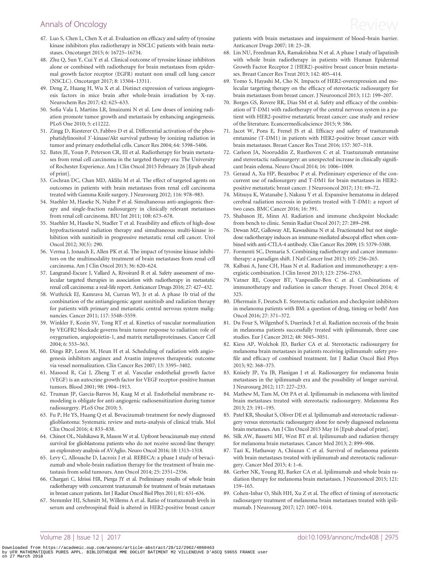- 47. Luo S, Chen L, Chen X et al. Evaluation on efficacy and safety of tyrosine kinase inhibitors plus radiotherapy in NSCLC patients with brain metastases. Oncotarget 2015; 6: 16725–16734.
- 48. Zhu Q, Sun Y, Cui Y et al. Clinical outcome of tyrosine kinase inhibitors alone or combined with radiotherapy for brain metastases from epidermal growth factor receptor (EGFR) mutant non small cell lung cancer (NSCLC). Oncotarget 2017; 8: 13304–13311.
- 49. Deng Z, Huang H, Wu X et al. Distinct expression of various angiogenesis factors in mice brain after whole-brain irradiation by X-ray. Neurochem Res 2017; 42: 625–633.
- 50. Sofia Vala I, Martins LR, Imaizumi N et al. Low doses of ionizing radiation promote tumor growth and metastasis by enhancing angiogenesis. PLoS One 2010; 5: e11222.
- 51. Zingg D, Riesterer O, Fabbro D et al. Differential activation of the phosphatidylinositol 3'-kinase/Akt survival pathway by ionizing radiation in tumor and primary endothelial cells. Cancer Res 2004; 64: 5398–5406.
- 52. Bates JE, Youn P, Peterson CR, III et al. Radiotherapy for brain metastases from renal cell carcinoma in the targeted therapy era: The University of Rochester Experience. Am J Clin Oncol 2015 February 26 [Epub ahead of print].
- 53. Cochran DC, Chan MD, Aklilu M et al. The effect of targeted agents on outcomes in patients with brain metastases from renal cell carcinoma treated with Gamma Knife surgery. J Neurosurg 2012; 116: 978–983.
- 54. Staehler M, Haseke N, Nuhn P et al. Simultaneous anti-angiogenic therapy and single-fraction radiosurgery in clinically relevant metastases from renal cell carcinoma. BJU Int 2011; 108: 673–678.
- 55. Staehler M, Haseke N, Stadler T et al. Feasibility and effects of high-dose hypofractionated radiation therapy and simultaneous multi-kinase inhibition with sunitinib in progressive metastatic renal cell cancer. Urol Oncol 2012; 30(3): 290.
- 56. Verma J, Jonasch E, Allen PK et al. The impact of tyrosine kinase inhibitors on the multimodality treatment of brain metastases from renal cell carcinoma. Am J Clin Oncol 2013; 36: 620–624.
- 57. Langrand-Escure J, Vallard A, Rivoirard R et al. Safety assessment of molecular targeted therapies in association with radiotherapy in metastatic renal cell carcinoma: a real-life report. Anticancer Drugs 2016; 27: 427–432.
- 58. Wuthrick EJ, Kamrava M, Curran WJ, Jr et al. A phase 1b trial of the combination of the antiangiogenic agent sunitinib and radiation therapy for patients with primary and metastatic central nervous system malignancies. Cancer 2011; 117: 5548–5559.
- 59. Winkler F, Kozin SV, Tong RT et al. Kinetics of vascular normalization by VEGFR2 blockade governs brain tumor response to radiation: role of oxygenation, angiopoietin-1, and matrix metalloproteinases. Cancer Cell 2004; 6: 553–563.
- 60. Dings RP, Loren M, Heun H et al. Scheduling of radiation with angiogenesis inhibitors anginex and Avastin improves therapeutic outcome via vessel normalization. Clin Cancer Res 2007; 13: 3395–3402.
- 61. Masood R, Cai J, Zheng T et al. Vascular endothelial growth factor (VEGF) is an autocrine growth factor for VEGF receptor-positive human tumors. Blood 2001; 98: 1904–1913.
- 62. Truman JP, Garcia-Barros M, Kaag M et al. Endothelial membrane remodeling is obligate for anti-angiogenic radiosensitization during tumor radiosurgery. PLoS One 2010; 5.
- 63. Fu P, He YS, Huang Q et al. Bevacizumab treatment for newly diagnosed glioblastoma: Systematic review and meta-analysis of clinical trials. Mol Clin Oncol 2016; 4: 833–838.
- 64. Chinot OL, Nishikawa R, Mason W et al. Upfront bevacizumab may extend survival for glioblastoma patients who do not receive second-line therapy: an exploratory analysis of AVAglio. Neuro Oncol 2016; 18: 1313–1318.
- 65. Levy C, Allouache D, Lacroix J et al. REBECA: a phase I study of bevacizumab and whole-brain radiation therapy for the treatment of brain metastasis from solid tumours. Ann Oncol 2014; 25: 2351–2356.
- 66. Chargari C, Idrissi HR, Pierga JY et al. Preliminary results of whole brain radiotherapy with concurrent trastuzumab for treatment of brain metastases in breast cancer patients. Int J Radiat Oncol Biol Phys 2011; 81: 631–636.
- 67. Stemmler HJ, Schmitt M, Willems A et al. Ratio of trastuzumab levels in serum and cerebrospinal fluid is altered in HER2-positive breast cancer

<span id="page-13-0"></span>

patients with brain metastases and impairment of blood–brain barrier. Anticancer Drugs 2007; 18: 23–28.

- 68. Lin NU, Freedman RA, Ramakrishna N et al. A phase I study of lapatinib with whole brain radiotherapy in patients with Human Epidermal Growth Factor Receptor 2 (HER2)-positive breast cancer brain metastases. Breast Cancer Res Treat 2013; 142: 405–414.
- 69. Yomo S, Hayashi M, Cho N. Impacts of HER2-overexpression and molecular targeting therapy on the efficacy of stereotactic radiosurgery for brain metastases from breast cancer. J Neurooncol 2013; 112: 199–207.
- 70. Borges GS, Rovere RK, Dias SM et al. Safety and efficacy of the combination of T-DM1 with radiotherapy of the central nervous system in a patient with HER2-positive metastatic breast cancer: case study and review of the literature. Ecancermedicalscience 2015; 9: 586.
- 71. Jacot W, Pons E, Frenel JS et al. Efficacy and safety of trastuzumab emtansine (T-DM1) in patients with HER2-positive breast cancer with brain metastases. Breast Cancer Res Treat 2016; 157: 307–318.
- 72. Carlson JA, Nooruddin Z, Rusthoven C et al. Trastuzumab emtansine and stereotactic radiosurgery: an unexpected increase in clinically significant brain edema. Neuro Oncol 2014; 16: 1006–1009.
- 73. Geraud A, Xu HP, Beuzeboc P et al. Preliminary experience of the concurrent use of radiosurgery and T-DM1 for brain metastases in HER2 positive metastatic breast cancer. J Neurooncol 2017; 131: 69–72.
- 74. Mitsuya K, Watanabe J, Nakasu Y et al. Expansive hematoma in delayed cerebral radiation necrosis in patients treated with T-DM1: a report of two cases. BMC Cancer 2016; 16: 391.
- 75. Shabason JE, Minn AJ. Radiation and immune checkpoint blockade: from bench to clinic. Semin Radiat Oncol 2017; 27: 289–298.
- 76. Dewan MZ, Galloway AE, Kawashima N et al. Fractionated but not singledose radiotherapy induces an immune-mediated abscopal effect when combined with anti-CTLA-4 antibody. Clin Cancer Res 2009; 15: 5379–5388.
- 77. Formenti SC, Demaria S. Combining radiotherapy and cancer immunotherapy: a paradigm shift. J Natl Cancer Inst 2013; 105: 256–265.
- 78. Kalbasi A, June CH, Haas N et al. Radiation and immunotherapy: a synergistic combination. J Clin Invest 2013; 123: 2756–2763.
- 79. Vatner RE, Cooper BT, Vanpouille-Box C et al. Combinations of immunotherapy and radiation in cancer therapy. Front Oncol 2014; 4: 325.
- 80. Dhermain F, Deutsch E. Stereotactic radiation and checkpoint inhibitors in melanoma patients with BM: a question of drug, timing or both? Ann Oncol 2016; 27: 371–372.
- 81. Du Four S, Wilgenhof S, Duerinck J et al. Radiation necrosis of the brain in melanoma patients successfully treated with ipilimumab, three case studies. Eur J Cancer 2012; 48: 3045–3051.
- 82. Kiess AP, Wolchok JD, Barker CA et al. Stereotactic radiosurgery for melanoma brain metastases in patients receiving ipilimumab: safety profile and efficacy of combined treatment. Int J Radiat Oncol Biol Phys 2015; 92: 368–375.
- 83. Knisely JP, Yu JB, Flanigan J et al. Radiosurgery for melanoma brain metastases in the ipilimumab era and the possibility of longer survival. J Neurosurg 2012; 117: 227–233.
- 84. Mathew M, Tam M, Ott PA et al. Ipilimumab in melanoma with limited brain metastases treated with stereotactic radiosurgery. Melanoma Res 2013; 23: 191–195.
- 85. Patel KR, Shoukat S, Oliver DE et al. Ipilimumab and stereotactic radiosurgery versus stereotactic radiosurgery alone for newly diagnosed melanoma brain metastases. Am J Clin Oncol 2015 May 16 [Epub ahead of print].
- 86. Silk AW, Bassetti MF, West BT et al. Ipilimumab and radiation therapy for melanoma brain metastases. Cancer Med 2013; 2: 899–906.
- 87. Tazi K, Hathaway A, Chiuzan C et al. Survival of melanoma patients with brain metastases treated with ipilimumab and stereotactic radiosurgery. Cancer Med 2015; 4: 1–6.
- 88. Gerber NK, Young RJ, Barker CA et al. Ipilimumab and whole brain radiation therapy for melanoma brain metastases. J Neurooncol 2015; 121: 159–165.
- 89. Cohen-Inbar O, Shih HH, Xu Z et al. The effect of timing of stereotactic radiosurgery treatment of melanoma brain metastases treated with ipilimumab. J Neurosurg 2017; 127: 1007–1014.